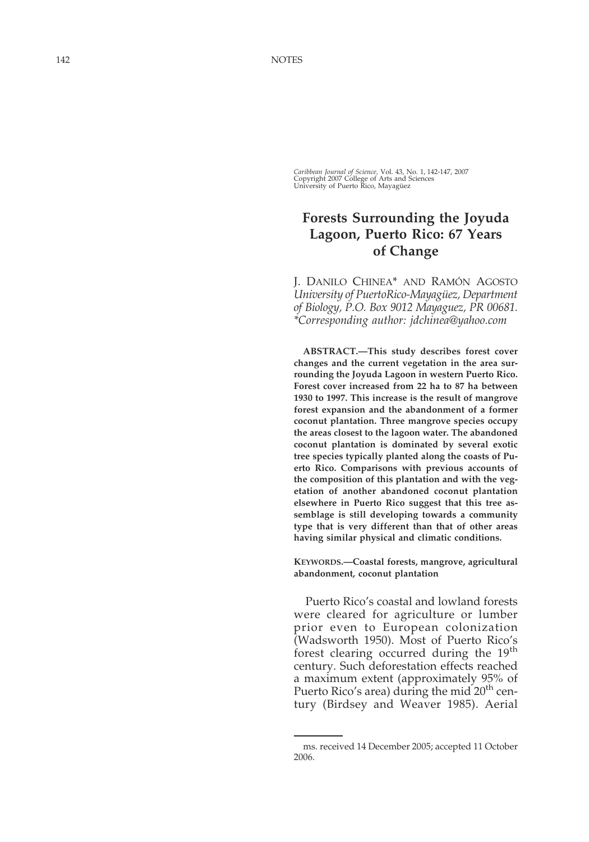*Caribbean Journal of Science, Vol. 43, No. 1, 142-147, 2007*<br>Copyright 2007 College of Arts and Sciences<br>University of Puerto Rico, Mayagüez

## **Forests Surrounding the Joyuda Lagoon, Puerto Rico: 67 Years of Change**

J. DANILO CHINEA \* AND RAM Ó N AGOSTO *University of PuertoRico-Mayag üez, Department of Biology, P.O. Box 9012 Mayaguez, PR 00681. \*Corresponding author: jdchinea@yahoo.com*

**ABSTRACT. —This study describes forest cover changes and the current vegetation in the area surrounding the Joyuda Lagoon in western Puerto Rico. Forest cover increased from 22 ha to 87 ha between 1930 to 1997. This increase is the result of mangrove forest expansion and the abandonment of a former coconut plantation. Three mangrove species occupy the areas closest to the lagoon water. The abandoned coconut plantation is dominated by several exotic tree species typically planted along the coasts of Puerto Rico. Comparisons with previous accounts of the composition of this plantation and with the vegetation of another abandoned coconut plantation elsewhere in Puerto Rico suggest that this tree assemblage is still developing towards a community type that is very different than that of other areas having similar physical and climatic conditions.**

**KEYWORDS.—Coastal forests, mangrove, agricultural abandonment, coconut plantation**

Puerto Rico 's coastal and lowland forests were cleared for agriculture or lumber prior even to European colonization (Wadsworth 1950). Most of Puerto Rico ' s forest clearing occurred during the 19<sup>th</sup> century. Such deforestation effects reached a maximum extent (approximately 95% of Puerto Rico's area) during the mid 20<sup>th</sup> century (Birdsey and Weaver 1985). Aerial

ms. received 14 December 2005; accepted 11 October 2006.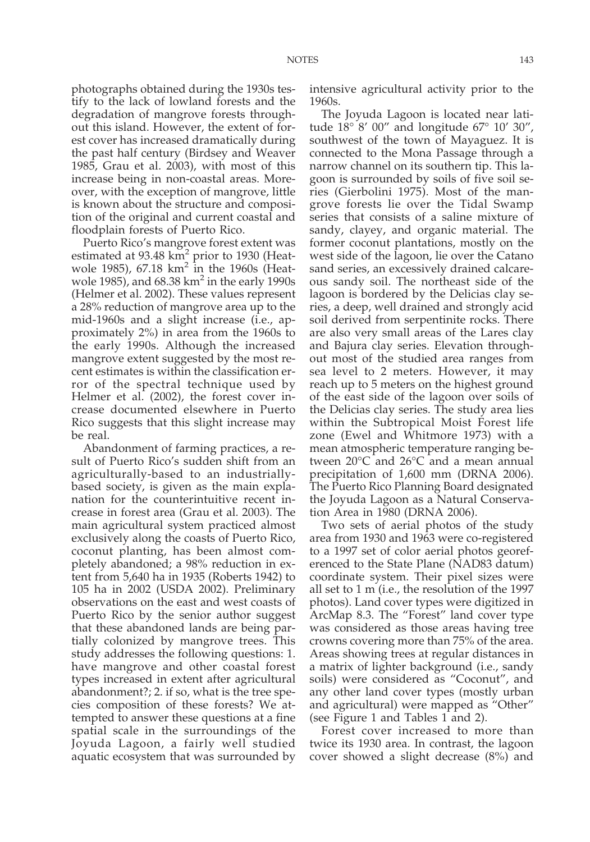photographs obtained during the 1930s testify to the lack of lowland forests and the degradation of mangrove forests throughout this island. However, the extent of forest cover has increased dramatically during the past half century (Birdsey and Weaver 1985, Grau et al. 2003), with most of this increase being in non-coastal areas. Moreover, with the exception of mangrove, little is known about the structure and composition of the original and current coastal and floodplain forests of Puerto Rico.

Puerto Rico's mangrove forest extent was estimated at 93.48  $km<sup>2</sup>$  prior to 1930 (Heatwole 1985),  $67.18 \text{ km}^2$  in the 1960s (Heatwole 1985), and  $68.38 \text{ km}^2$  in the early 1990s (Helmer et al. 2002). These values represent a 28% reduction of mangrove area up to the mid-1960s and a slight increase (i.e., approximately 2%) in area from the 1960s to the early 1990s. Although the increased mangrove extent suggested by the most recent estimates is within the classification error of the spectral technique used by Helmer et al. (2002), the forest cover increase documented elsewhere in Puerto Rico suggests that this slight increase may be real.

Abandonment of farming practices, a result of Puerto Rico's sudden shift from an agriculturally-based to an industriallybased society, is given as the main explanation for the counterintuitive recent increase in forest area (Grau et al. 2003). The main agricultural system practiced almost exclusively along the coasts of Puerto Rico, coconut planting, has been almost completely abandoned; a 98% reduction in extent from 5,640 ha in 1935 (Roberts 1942) to 105 ha in 2002 (USDA 2002). Preliminary observations on the east and west coasts of Puerto Rico by the senior author suggest that these abandoned lands are being partially colonized by mangrove trees. This study addresses the following questions: 1. have mangrove and other coastal forest types increased in extent after agricultural abandonment?; 2. if so, what is the tree species composition of these forests? We attempted to answer these questions at a fine spatial scale in the surroundings of the Joyuda Lagoon, a fairly well studied aquatic ecosystem that was surrounded by intensive agricultural activity prior to the 1960s.

The Joyuda Lagoon is located near latitude 18° 8' 00" and longitude 67° 10' 30", southwest of the town of Mayaguez. It is connected to the Mona Passage through a narrow channel on its southern tip. This lagoon is surrounded by soils of five soil series (Gierbolini 1975). Most of the mangrove forests lie over the Tidal Swamp series that consists of a saline mixture of sandy, clayey, and organic material. The former coconut plantations, mostly on the west side of the lagoon, lie over the Catano sand series, an excessively drained calcareous sandy soil. The northeast side of the lagoon is bordered by the Delicias clay series, a deep, well drained and strongly acid soil derived from serpentinite rocks. There are also very small areas of the Lares clay and Bajura clay series. Elevation throughout most of the studied area ranges from sea level to 2 meters. However, it may reach up to 5 meters on the highest ground of the east side of the lagoon over soils of the Delicias clay series. The study area lies within the Subtropical Moist Forest life zone (Ewel and Whitmore 1973) with a mean atmospheric temperature ranging between 20°C and 26°C and a mean annual precipitation of 1,600 mm (DRNA 2006). The Puerto Rico Planning Board designated the Joyuda Lagoon as a Natural Conservation Area in 1980 (DRNA 2006).

Two sets of aerial photos of the study area from 1930 and 1963 were co-registered to a 1997 set of color aerial photos georeferenced to the State Plane (NAD83 datum) coordinate system. Their pixel sizes were all set to 1 m (i.e., the resolution of the 1997 photos). Land cover types were digitized in ArcMap 8.3. The "Forest" land cover type was considered as those areas having tree crowns covering more than 75% of the area. Areas showing trees at regular distances in a matrix of lighter background (i.e., sandy soils) were considered as "Coconut", and any other land cover types (mostly urban and agricultural) were mapped as "Other" (see Figure 1 and Tables 1 and 2).

Forest cover increased to more than twice its 1930 area. In contrast, the lagoon cover showed a slight decrease (8%) and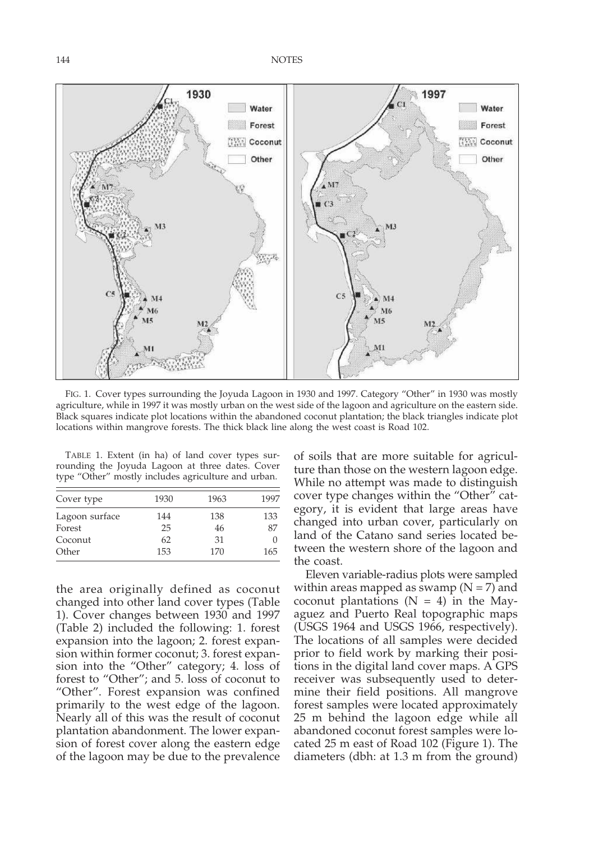144 NOTES



FIG. 1. Cover types surrounding the Joyuda Lagoon in 1930 and 1997. Category "Other" in 1930 was mostly agriculture, while in 1997 it was mostly urban on the west side of the lagoon and agriculture on the eastern side. Black squares indicate plot locations within the abandoned coconut plantation; the black triangles indicate plot locations within mangrove forests. The thick black line along the west coast is Road 102.

TABLE 1. Extent (in ha) of land cover types surrounding the Joyuda Lagoon at three dates. Cover type "Other" mostly includes agriculture and urban.

| Cover type     | 1930 | 1963 | 1997 |
|----------------|------|------|------|
| Lagoon surface | 144  | 138  | 133  |
| Forest         | 25   | 46   | 87   |
| Coconut        | 62   | 31   |      |
| Other          | 153  | 170  | 165  |

the area originally defined as coconut changed into other land cover types (Table 1). Cover changes between 1930 and 1997 (Table 2) included the following: 1. forest expansion into the lagoon; 2. forest expansion within former coconut; 3. forest expansion into the "Other" category; 4. loss of forest to "Other"; and 5. loss of coconut to "Other". Forest expansion was confined primarily to the west edge of the lagoon. Nearly all of this was the result of coconut plantation abandonment. The lower expansion of forest cover along the eastern edge of the lagoon may be due to the prevalence

of soils that are more suitable for agriculture than those on the western lagoon edge. While no attempt was made to distinguish cover type changes within the "Other" category, it is evident that large areas have changed into urban cover, particularly on land of the Catano sand series located between the western shore of the lagoon and the coast.

Eleven variable-radius plots were sampled within areas mapped as swamp ( $N = 7$ ) and coconut plantations  $(N = 4)$  in the Mayaguez and Puerto Real topographic maps (USGS 1964 and USGS 1966, respectively). The locations of all samples were decided prior to field work by marking their positions in the digital land cover maps. A GPS receiver was subsequently used to determine their field positions. All mangrove forest samples were located approximately 25 m behind the lagoon edge while all abandoned coconut forest samples were located 25 m east of Road 102 (Figure 1). The diameters (dbh: at 1.3 m from the ground)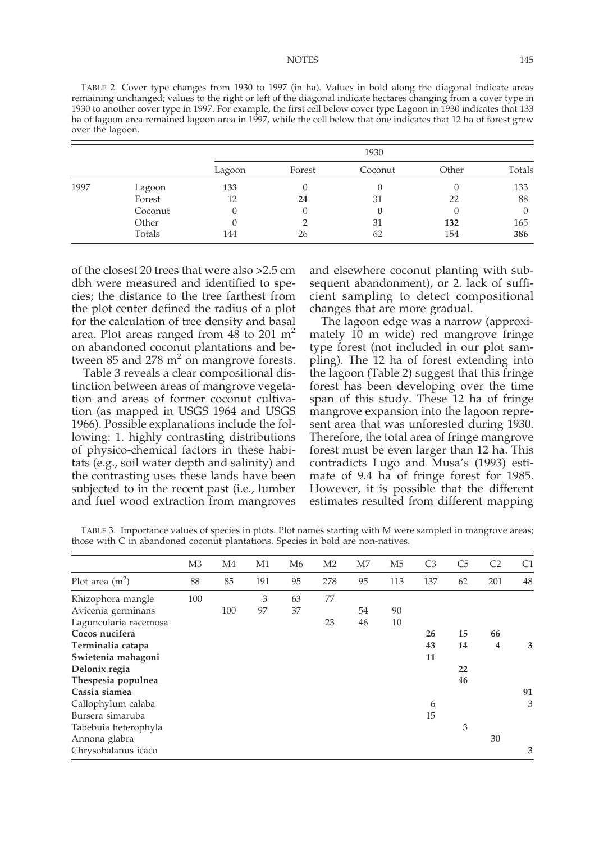TABLE 2. Cover type changes from 1930 to 1997 (in ha). Values in bold along the diagonal indicate areas remaining unchanged; values to the right or left of the diagonal indicate hectares changing from a cover type in 1930 to another cover type in 1997. For example, the first cell below cover type Lagoon in 1930 indicates that 133 ha of lagoon area remained lagoon area in 1997, while the cell below that one indicates that 12 ha of forest grew over the lagoon.

|      |         | 1930   |        |              |       |        |  |  |  |
|------|---------|--------|--------|--------------|-------|--------|--|--|--|
|      |         | Lagoon | Forest | Coconut      | Other | Totals |  |  |  |
| 1997 | Lagoon  | 133    |        |              |       | 133    |  |  |  |
|      | Forest  | 12     | 24     | 31           | 22    | 88     |  |  |  |
|      | Coconut |        |        | $\mathbf{0}$ |       |        |  |  |  |
|      | Other   |        |        | 31           | 132   | 165    |  |  |  |
|      | Totals  | 144    | 26     | 62           | 154   | 386    |  |  |  |

of the closest 20 trees that were also >2.5 cm dbh were measured and identified to species; the distance to the tree farthest from the plot center defined the radius of a plot for the calculation of tree density and basal area. Plot areas ranged from 48 to 201  $m<sup>2</sup>$ on abandoned coconut plantations and between  $85$  and  $278$  m<sup>2</sup> on mangrove forests.

Table 3 reveals a clear compositional distinction between areas of mangrove vegetation and areas of former coconut cultivation (as mapped in USGS 1964 and USGS 1966). Possible explanations include the following: 1. highly contrasting distributions of physico-chemical factors in these habitats (e.g., soil water depth and salinity) and the contrasting uses these lands have been subjected to in the recent past (i.e., lumber and fuel wood extraction from mangroves

and elsewhere coconut planting with subsequent abandonment), or 2. lack of sufficient sampling to detect compositional changes that are more gradual.

The lagoon edge was a narrow (approximately 10 m wide) red mangrove fringe type forest (not included in our plot sampling). The 12 ha of forest extending into the lagoon (Table 2) suggest that this fringe forest has been developing over the time span of this study. These 12 ha of fringe mangrove expansion into the lagoon represent area that was unforested during 1930. Therefore, the total area of fringe mangrove forest must be even larger than 12 ha. This contradicts Lugo and Musa's (1993) estimate of 9.4 ha of fringe forest for 1985. However, it is possible that the different estimates resulted from different mapping

TABLE 3. Importance values of species in plots. Plot names starting with M were sampled in mangrove areas; those with C in abandoned coconut plantations. Species in bold are non-natives.

|                       | M <sub>3</sub> | M <sub>4</sub> | M1  | M <sub>6</sub> | M <sub>2</sub> | M <sub>7</sub> | M <sub>5</sub> | C <sub>3</sub> | C <sub>5</sub> | C <sub>2</sub> | C <sub>1</sub> |
|-----------------------|----------------|----------------|-----|----------------|----------------|----------------|----------------|----------------|----------------|----------------|----------------|
| Plot area $(m^2)$     | 88             | 85             | 191 | 95             | 278            | 95             | 113            | 137            | 62             | 201            | 48             |
| Rhizophora mangle     | 100            |                | 3   | 63             | 77             |                |                |                |                |                |                |
| Avicenia germinans    |                | 100            | 97  | 37             |                | 54             | 90             |                |                |                |                |
| Laguncularia racemosa |                |                |     |                | 23             | 46             | 10             |                |                |                |                |
| Cocos nucifera        |                |                |     |                |                |                |                | 26             | 15             | 66             |                |
| Terminalia catapa     |                |                |     |                |                |                |                | 43             | 14             | 4              | 3              |
| Swietenia mahagoni    |                |                |     |                |                |                |                | 11             |                |                |                |
| Delonix regia         |                |                |     |                |                |                |                |                | 22             |                |                |
| Thespesia populnea    |                |                |     |                |                |                |                |                | 46             |                |                |
| Cassia siamea         |                |                |     |                |                |                |                |                |                |                | 91             |
| Callophylum calaba    |                |                |     |                |                |                |                | 6              |                |                | 3              |
| Bursera simaruba      |                |                |     |                |                |                |                | 15             |                |                |                |
| Tabebuia heterophyla  |                |                |     |                |                |                |                |                | 3              |                |                |
| Annona glabra         |                |                |     |                |                |                |                |                |                | 30             |                |
| Chrysobalanus icaco   |                |                |     |                |                |                |                |                |                |                | 3              |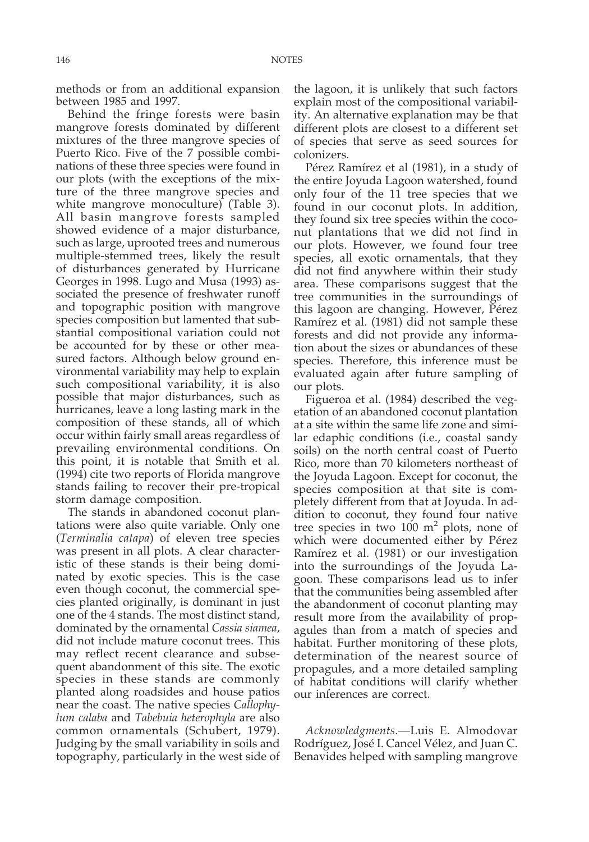methods or from an additional expansion between 1985 and 1997.

Behind the fringe forests were basin mangrove forests dominated by different mixtures of the three mangrove species of Puerto Rico. Five of the 7 possible combinations of these three species were found in our plots (with the exceptions of the mixture of the three mangrove species and white mangrove monoculture) (Table 3). All basin mangrove forests sampled showed evidence of a major disturbance, such as large, uprooted trees and numerous multiple-stemmed trees, likely the result of disturbances generated by Hurricane Georges in 1998. Lugo and Musa (1993) associated the presence of freshwater runoff and topographic position with mangrove species composition but lamented that substantial compositional variation could not be accounted for by these or other measured factors. Although below ground environmental variability may help to explain such compositional variability, it is also possible that major disturbances, such as hurricanes, leave a long lasting mark in the composition of these stands, all of which occur within fairly small areas regardless of prevailing environmental conditions. On this point, it is notable that Smith et al. (1994) cite two reports of Florida mangrove stands failing to recover their pre-tropical storm damage composition.

The stands in abandoned coconut plantations were also quite variable. Only one (*Terminalia catapa*) of eleven tree species was present in all plots. A clear characteristic of these stands is their being dominated by exotic species. This is the case even though coconut, the commercial species planted originally, is dominant in just one of the 4 stands. The most distinct stand, dominated by the ornamental *Cassia siamea*, did not include mature coconut trees. This may reflect recent clearance and subsequent abandonment of this site. The exotic species in these stands are commonly planted along roadsides and house patios near the coast. The native species *Callophylum calaba* and *Tabebuia heterophyla* are also common ornamentals (Schubert, 1979). Judging by the small variability in soils and topography, particularly in the west side of

the lagoon, it is unlikely that such factors explain most of the compositional variability. An alternative explanation may be that different plots are closest to a different set of species that serve as seed sources for colonizers.

Pérez Ramírez et al (1981), in a study of the entire Joyuda Lagoon watershed, found only four of the 11 tree species that we found in our coconut plots. In addition, they found six tree species within the coconut plantations that we did not find in our plots. However, we found four tree species, all exotic ornamentals, that they did not find anywhere within their study area. These comparisons suggest that the tree communities in the surroundings of this lagoon are changing. However, Pérez Ramírez et al. (1981) did not sample these forests and did not provide any information about the sizes or abundances of these species. Therefore, this inference must be evaluated again after future sampling of our plots.

Figueroa et al. (1984) described the vegetation of an abandoned coconut plantation at a site within the same life zone and similar edaphic conditions (i.e., coastal sandy soils) on the north central coast of Puerto Rico, more than 70 kilometers northeast of the Joyuda Lagoon. Except for coconut, the species composition at that site is completely different from that at Joyuda. In addition to coconut, they found four native tree species in two  $100 \text{ m}^2$  plots, none of which were documented either by Pérez Ramírez et al. (1981) or our investigation into the surroundings of the Joyuda Lagoon. These comparisons lead us to infer that the communities being assembled after the abandonment of coconut planting may result more from the availability of propagules than from a match of species and habitat. Further monitoring of these plots, determination of the nearest source of propagules, and a more detailed sampling of habitat conditions will clarify whether our inferences are correct.

*Acknowledgments.—*Luis E. Almodovar Rodríguez, José I. Cancel Vélez, and Juan C. Benavides helped with sampling mangrove